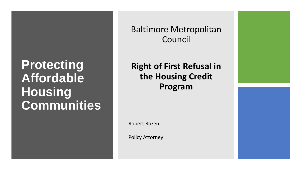## **Protecting Affordable Housing Communities**

Baltimore Metropolitan Council

**Right of First Refusal in the Housing Credit Program**

Robert Rozen

Policy Attorney

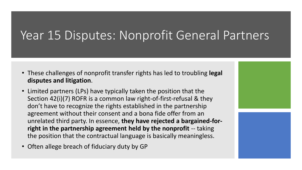## Year 15 Disputes: Nonprofit General Partners

- These challenges of nonprofit transfer rights has led to troubling **legal disputes and litigation**.
- Limited partners (LPs) have typically taken the position that the Section 42(i)(7) ROFR is a common law right-of-first-refusal & they don't have to recognize the rights established in the partnership agreement without their consent and a bona fide offer from an unrelated third party. In essence, **they have rejected a bargained-forright in the partnership agreement held by the nonprofit** -- taking the position that the contractual language is basically meaningless.
- Often allege breach of fiduciary duty by GP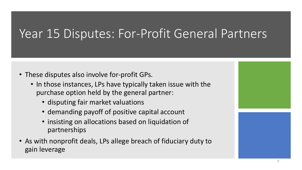# Year 15 Disputes: For-Profit General Partners

- These disputes also involve for-profit GPs.
	- In those instances, LPs have typically taken issue with the purchase option held by the general partner:
		- disputing fair market valuations
		- demanding payoff of positive capital account
		- insisting on allocations based on liquidation of partnerships
- As with nonprofit deals, LPs allege breach of fiduciary duty to gain leverage

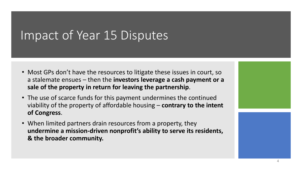## Impact of Year 15 Disputes

- Most GPs don't have the resources to litigate these issues in court, so a stalemate ensues – then the **investors leverage a cash payment or a sale of the property in return for leaving the partnership**.
- The use of scarce funds for this payment undermines the continued viability of the property of affordable housing – **contrary to the intent of Congress**.
- When limited partners drain resources from a property, they **undermine a mission-driven nonprofit's ability to serve its residents, & the broader community.**



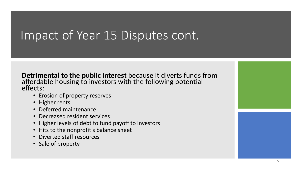### Impact of Year 15 Disputes cont.

**Detrimental to the public interest** because it diverts funds from affordable housing to investors with the following potential effects:

- Erosion of property reserves
- Higher rents
- Deferred maintenance
- Decreased resident services
- Higher levels of debt to fund payoff to investors
- Hits to the nonprofit's balance sheet
- Diverted staff resources
- Sale of property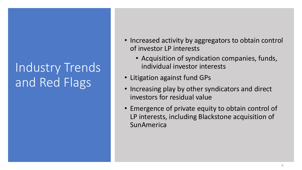# Industry Trends and Red Flags

- Increased activity by aggregators to obtain control of investor LP interests
	- Acquisition of syndication companies, funds, individual investor interests
- Litigation against fund GPs
- Increasing play by other syndicators and direct investors for residual value
- Emergence of private equity to obtain control of LP interests, including Blackstone acquisition of **SunAmerica**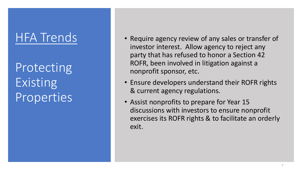## HFA Trends

Protecting Existing Properties

- Require agency review of any sales or transfer of investor interest. Allow agency to reject any party that has refused to honor a Section 42 ROFR, been involved in litigation against a nonprofit sponsor, etc.
- Ensure developers understand their ROFR rights & current agency regulations.
- Assist nonprofits to prepare for Year 15 discussions with investors to ensure nonprofit exercises its ROFR rights & to facilitate an orderly exit.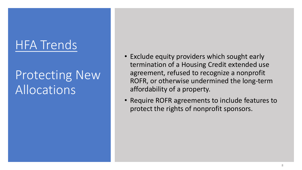# HFA Trends

# Protecting New Allocations

- Exclude equity providers which sought early termination of a Housing Credit extended use agreement, refused to recognize a nonprofit ROFR, or otherwise undermined the long-term affordability of a property.
- Require ROFR agreements to include features to protect the rights of nonprofit sponsors.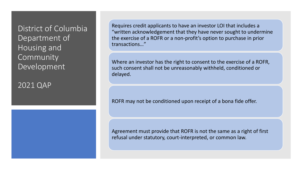District of Columbia Department of Housing and **Community** Development

2021 QAP

Requires credit applicants to have an investor LOI that includes a "written acknowledgement that they have never sought to undermine the exercise of a ROFR or a non-profit's option to purchase in prior transactions…"

Where an investor has the right to consent to the exercise of a ROFR, such consent shall not be unreasonably withheld, conditioned or delayed.

ROFR may not be conditioned upon receipt of a bona fide offer.

Agreement must provide that ROFR is not the same as a right of first refusal under statutory, court-interpreted, or common law.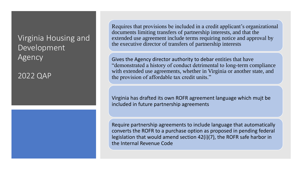#### Virginia Housing and Development Agency

2022 QAP

Requires that provisions be included in a credit applicant's organizational documents limiting transfers of partnership interests, and that the extended use agreement include terms requiring notice and approval by the executive director of transfers of partnership interests

Gives the Agency director authority to debar entities that have "demonstrated a history of conduct detrimental to long-term compliance with extended use agreements, whether in Virginia or another state, and the provision of affordable tax credit units."

Virginia has drafted its own ROFR agreement language which mujt be included in future partnership agreements

Require partnership agreements to include language that automatically converts the ROFR to a purchase option as proposed in pending federal legislation that would amend section 42(i)(7), the ROFR safe harbor in the Internal Revenue Code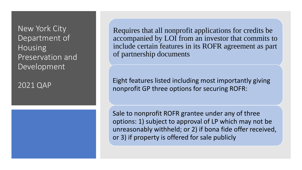New York City Department of Housing Preservation and Development

2021 QAP

Requires that all nonprofit applications for credits be accompanied by LOI from an investor that commits to include certain features in its ROFR agreement as part of partnership documents

Eight features listed including most importantly giving nonprofit GP three options for securing ROFR:

Sale to nonprofit ROFR grantee under any of three options: 1) subject to approval of LP which may not be unreasonably withheld; or 2) if bona fide offer received, or 3) if property is offered for sale publicly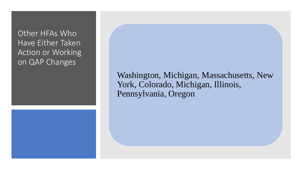Other HFAs Who Have Either Taken Action or Working on QAP Changes

> Washington, Michigan, Massachusetts, New York, Colorado, Michigan, Illinois, Pennsylvania, Oregon